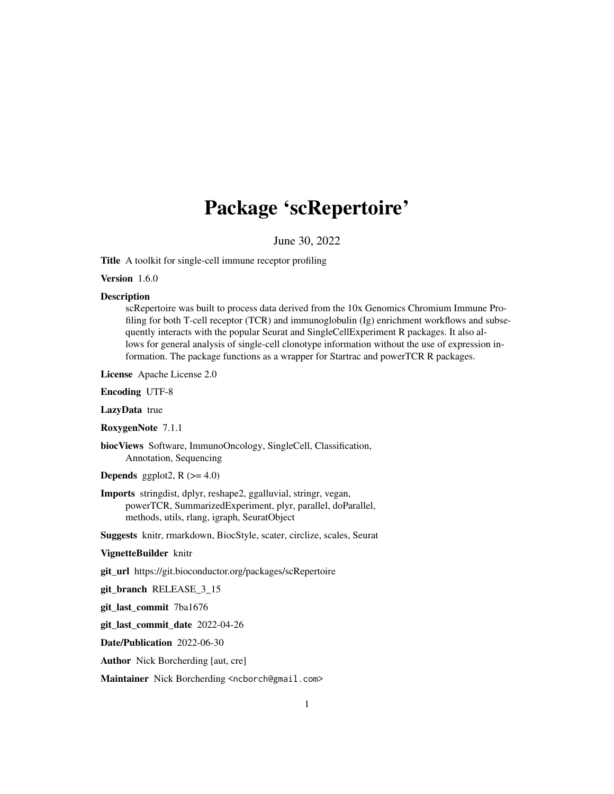# Package 'scRepertoire'

June 30, 2022

Title A toolkit for single-cell immune receptor profiling

Version 1.6.0

#### **Description**

scRepertoire was built to process data derived from the 10x Genomics Chromium Immune Profiling for both T-cell receptor (TCR) and immunoglobulin (Ig) enrichment workflows and subsequently interacts with the popular Seurat and SingleCellExperiment R packages. It also allows for general analysis of single-cell clonotype information without the use of expression information. The package functions as a wrapper for Startrac and powerTCR R packages.

License Apache License 2.0

Encoding UTF-8

LazyData true

RoxygenNote 7.1.1

biocViews Software, ImmunoOncology, SingleCell, Classification, Annotation, Sequencing

**Depends** ggplot<sub>2</sub>,  $R$  ( $>= 4.0$ )

Imports stringdist, dplyr, reshape2, ggalluvial, stringr, vegan, powerTCR, SummarizedExperiment, plyr, parallel, doParallel, methods, utils, rlang, igraph, SeuratObject

Suggests knitr, rmarkdown, BiocStyle, scater, circlize, scales, Seurat

#### VignetteBuilder knitr

git\_url https://git.bioconductor.org/packages/scRepertoire

git\_branch RELEASE\_3\_15

git\_last\_commit 7ba1676

git\_last\_commit\_date 2022-04-26

Date/Publication 2022-06-30

Author Nick Borcherding [aut, cre]

Maintainer Nick Borcherding <ncborch@gmail.com>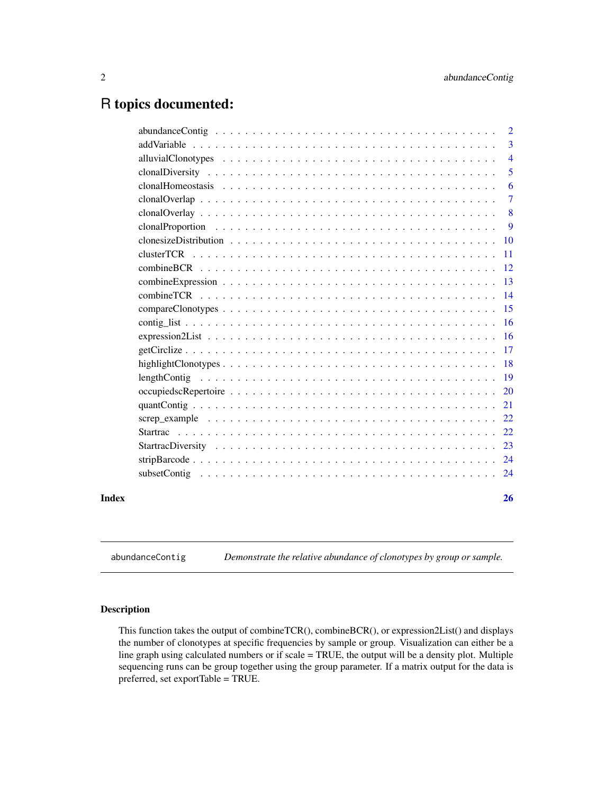# <span id="page-1-0"></span>R topics documented:

|       | 2              |
|-------|----------------|
|       | 3              |
|       | $\overline{4}$ |
|       | 5              |
|       | 6              |
|       | $\tau$         |
|       | 8              |
|       | 9              |
|       | 10             |
|       | 11             |
|       | <sup>12</sup>  |
|       | 13             |
|       | 14             |
|       | 15             |
|       | <b>16</b>      |
|       | -16            |
|       |                |
|       | -18            |
|       |                |
|       | <b>20</b>      |
|       | 21             |
|       | 22             |
|       |                |
|       |                |
|       |                |
|       |                |
| Index | 26             |

abundanceContig *Demonstrate the relative abundance of clonotypes by group or sample.*

# Description

This function takes the output of combineTCR(), combineBCR(), or expression2List() and displays the number of clonotypes at specific frequencies by sample or group. Visualization can either be a line graph using calculated numbers or if scale = TRUE, the output will be a density plot. Multiple sequencing runs can be group together using the group parameter. If a matrix output for the data is preferred, set exportTable = TRUE.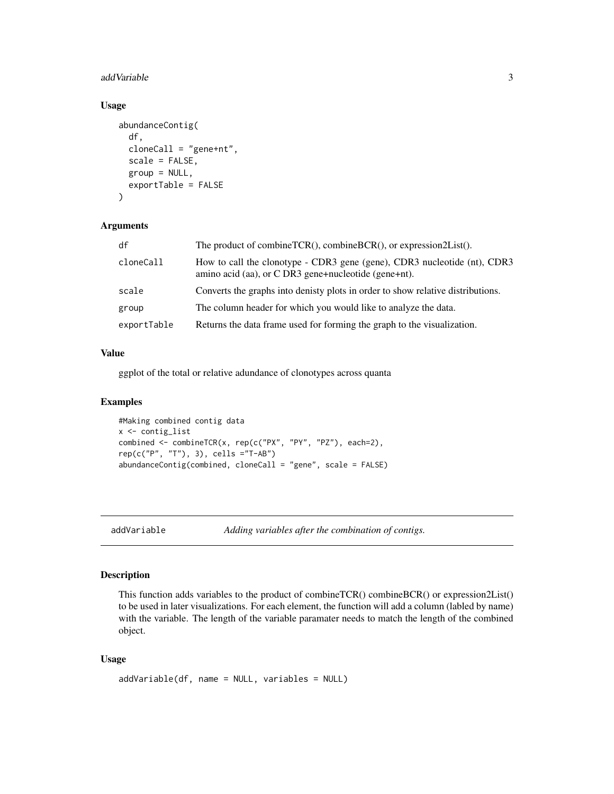#### <span id="page-2-0"></span>addVariable 3

# Usage

```
abundanceContig(
  df,
  cloneCall = "gene+nt",
  scale = FALSE,
 group = NULL,
 exportTable = FALSE
)
```
# Arguments

| df          | The product of combineTCR(), combineBCR(), or expression2List().                                                                 |
|-------------|----------------------------------------------------------------------------------------------------------------------------------|
| cloneCall   | How to call the clonotype - CDR3 gene (gene), CDR3 nucleotide (nt), CDR3<br>amino acid (aa), or C DR3 gene+nucleotide (gene+nt). |
| scale       | Converts the graphs into denisty plots in order to show relative distributions.                                                  |
| group       | The column header for which you would like to analyze the data.                                                                  |
| exportTable | Returns the data frame used for forming the graph to the visualization.                                                          |

# Value

ggplot of the total or relative adundance of clonotypes across quanta

# Examples

```
#Making combined contig data
x <- contig_list
combined <- combineTCR(x, rep(c("PX", "PY", "PZ"), each=2),
rep(c("P", "T"), 3), cells ="T-AB")
abundanceContig(combined, cloneCall = "gene", scale = FALSE)
```
addVariable *Adding variables after the combination of contigs.*

# Description

This function adds variables to the product of combineTCR() combineBCR() or expression2List() to be used in later visualizations. For each element, the function will add a column (labled by name) with the variable. The length of the variable paramater needs to match the length of the combined object.

# Usage

```
addVariable(df, name = NULL, variables = NULL)
```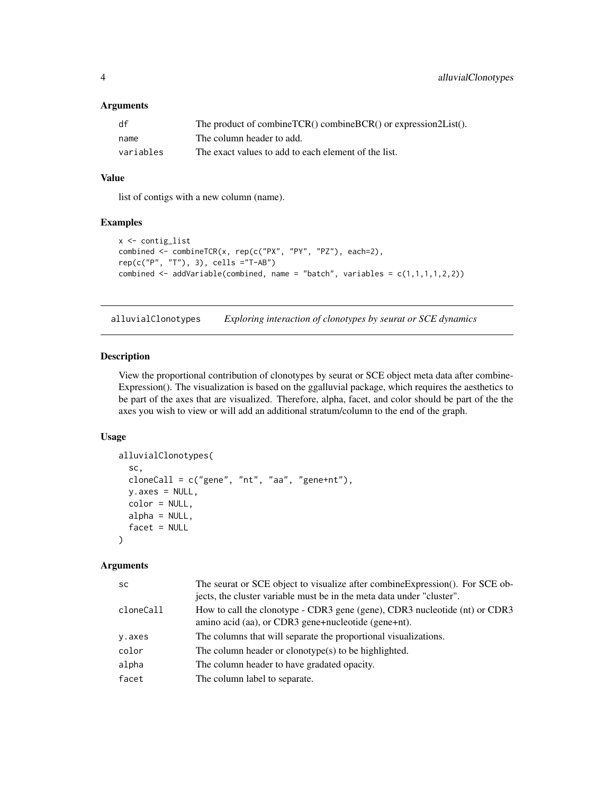# <span id="page-3-0"></span>Arguments

| df        | The product of combineTCR() combineBCR() or expression2List(). |
|-----------|----------------------------------------------------------------|
| name      | The column header to add.                                      |
| variables | The exact values to add to each element of the list.           |

# Value

list of contigs with a new column (name).

# Examples

```
x <- contig_list
combined <- combineTCR(x, rep(c("PX", "PY", "PZ"), each=2),
rep(c("P", "T"), 3), cells ="T-AB")
combined \leq addVariable(combined, name = "batch", variables = c(1,1,1,1,2,2))
```
alluvialClonotypes *Exploring interaction of clonotypes by seurat or SCE dynamics*

# Description

View the proportional contribution of clonotypes by seurat or SCE object meta data after combine-Expression(). The visualization is based on the ggalluvial package, which requires the aesthetics to be part of the axes that are visualized. Therefore, alpha, facet, and color should be part of the the axes you wish to view or will add an additional stratum/column to the end of the graph.

#### Usage

```
alluvialClonotypes(
  sc,
  cloneCall = c("gene", "nt", "aa", "gene+nt"),y \cdot a \times e \cdot s = \text{NULL},
  color = NULL,
  alpha = NULL,facet = NULL\lambda
```

| <b>SC</b> | The seurat or SCE object to visualize after combine Expression(). For SCE ob-<br>jects, the cluster variable must be in the meta data under "cluster". |
|-----------|--------------------------------------------------------------------------------------------------------------------------------------------------------|
| cloneCall | How to call the clonotype - CDR3 gene (gene), CDR3 nucleotide (nt) or CDR3<br>amino acid (aa), or CDR3 gene+nucleotide (gene+nt).                      |
| y.axes    | The columns that will separate the proportional visualizations.                                                                                        |
| color     | The column header or clonotype $(s)$ to be highlighted.                                                                                                |
| alpha     | The column header to have gradated opacity.                                                                                                            |
| facet     | The column label to separate.                                                                                                                          |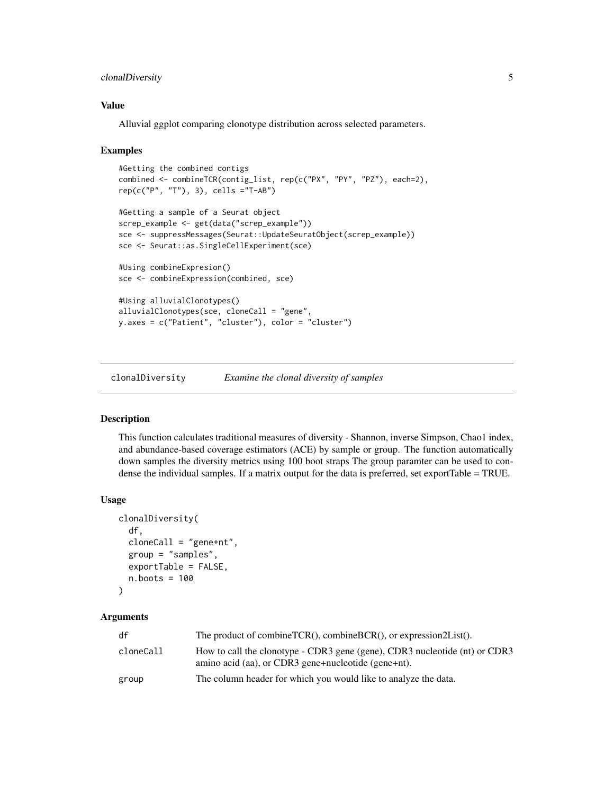# <span id="page-4-0"></span>clonalDiversity 5

# Value

Alluvial ggplot comparing clonotype distribution across selected parameters.

#### Examples

```
#Getting the combined contigs
combined <- combineTCR(contig_list, rep(c("PX", "PY", "PZ"), each=2),
rep(c("P", "T"), 3), cells ="T-AB")
#Getting a sample of a Seurat object
screp_example <- get(data("screp_example"))
sce <- suppressMessages(Seurat::UpdateSeuratObject(screp_example))
sce <- Seurat::as.SingleCellExperiment(sce)
#Using combineExpresion()
sce <- combineExpression(combined, sce)
#Using alluvialClonotypes()
alluvialClonotypes(sce, cloneCall = "gene",
y.axes = c("Patient", "cluster"), color = "cluster")
```
clonalDiversity *Examine the clonal diversity of samples*

# Description

This function calculates traditional measures of diversity - Shannon, inverse Simpson, Chao1 index, and abundance-based coverage estimators (ACE) by sample or group. The function automatically down samples the diversity metrics using 100 boot straps The group paramter can be used to condense the individual samples. If a matrix output for the data is preferred, set exportTable = TRUE.

#### Usage

```
clonalDiversity(
  df,
  cloneCall = "gene+nt",group = "samples",
  exportTable = FALSE,
  n.boots = 100
)
```

| df        | The product of combine $TCR()$ , combine $BCR()$ , or expression $2List()$ .                                                      |
|-----------|-----------------------------------------------------------------------------------------------------------------------------------|
| cloneCall | How to call the clonotype - CDR3 gene (gene), CDR3 nucleotide (nt) or CDR3<br>amino acid (aa), or CDR3 gene+nucleotide (gene+nt). |
| group     | The column header for which you would like to analyze the data.                                                                   |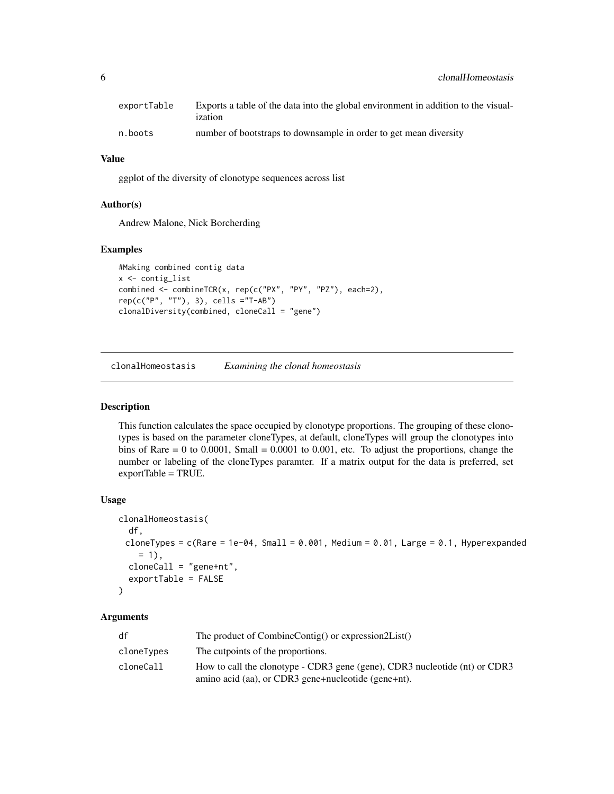<span id="page-5-0"></span>

| exportTable | Exports a table of the data into the global environment in addition to the visual-<br>ization |
|-------------|-----------------------------------------------------------------------------------------------|
| n.boots     | number of bootstraps to downsample in order to get mean diversity                             |

# Value

ggplot of the diversity of clonotype sequences across list

# Author(s)

Andrew Malone, Nick Borcherding

# Examples

```
#Making combined contig data
x <- contig_list
combined <- combineTCR(x, rep(c("PX", "PY", "PZ"), each=2),
rep(c("P", "T"), 3), cells ="T-AB")
clonalDiversity(combined, cloneCall = "gene")
```
clonalHomeostasis *Examining the clonal homeostasis*

# Description

This function calculates the space occupied by clonotype proportions. The grouping of these clonotypes is based on the parameter cloneTypes, at default, cloneTypes will group the clonotypes into bins of Rare  $= 0$  to 0.0001, Small  $= 0.0001$  to 0.001, etc. To adjust the proportions, change the number or labeling of the cloneTypes paramter. If a matrix output for the data is preferred, set exportTable = TRUE.

#### Usage

```
clonalHomeostasis(
  df,
 cloneTypes = c(Rare = 1e-04, Small = 0.001, Medium = 0.01, Large = 0.1, Hyperexpanded
    = 1,
  cloneCall = "gene+nt",
  exportTable = FALSE
)
```

| df         | The product of CombineContig() or expression2List()                        |
|------------|----------------------------------------------------------------------------|
| cloneTypes | The cutpoints of the proportions.                                          |
| cloneCall  | How to call the clonotype - CDR3 gene (gene), CDR3 nucleotide (nt) or CDR3 |
|            | amino acid (aa), or CDR3 gene+nucleotide (gene+nt).                        |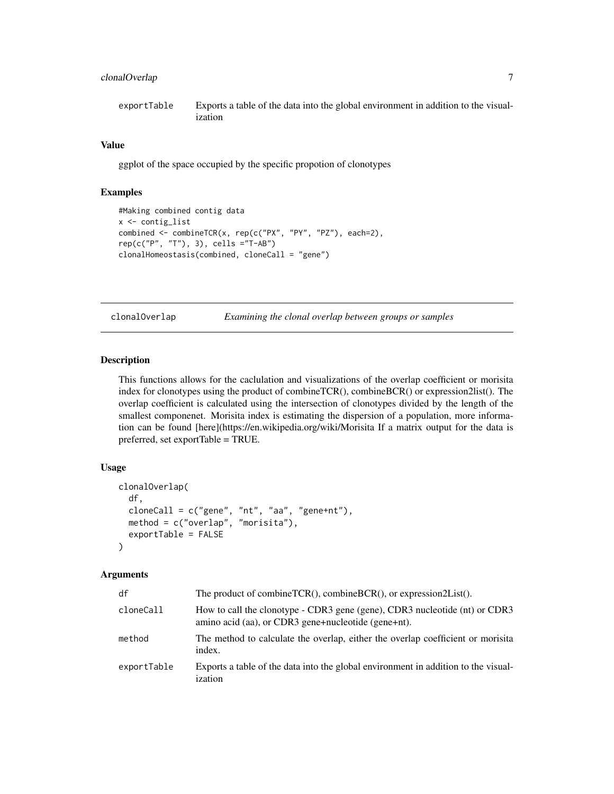# <span id="page-6-0"></span>clonalOverlap 7

```
exportTable Exports a table of the data into the global environment in addition to the visual-
                  ization
```
#### Value

ggplot of the space occupied by the specific propotion of clonotypes

# Examples

```
#Making combined contig data
x <- contig_list
combined <- combineTCR(x, rep(c("PX", "PY", "PZ"), each=2),
rep(c("P", "T"), 3), cells ="T-AB")
clonalHomeostasis(combined, cloneCall = "gene")
```
clonalOverlap *Examining the clonal overlap between groups or samples*

# Description

This functions allows for the caclulation and visualizations of the overlap coefficient or morisita index for clonotypes using the product of combineTCR(), combineBCR() or expression2list(). The overlap coefficient is calculated using the intersection of clonotypes divided by the length of the smallest componenet. Morisita index is estimating the dispersion of a population, more information can be found [here](https://en.wikipedia.org/wiki/Morisita If a matrix output for the data is preferred, set exportTable = TRUE.

# Usage

```
clonalOverlap(
  df,
  cloneCall = c("gene", "nt", "aa", "gene+nt"),method = c("overlap", "morisita"),
  exportTable = FALSE
)
```

| df          | The product of combine $TCR()$ , combine $BCR()$ , or expression $2List()$ .                                                      |
|-------------|-----------------------------------------------------------------------------------------------------------------------------------|
| cloneCall   | How to call the clonotype - CDR3 gene (gene), CDR3 nucleotide (nt) or CDR3<br>amino acid (aa), or CDR3 gene+nucleotide (gene+nt). |
| method      | The method to calculate the overlap, either the overlap coefficient or morisita<br>index.                                         |
| exportTable | Exports a table of the data into the global environment in addition to the visual-<br>ization                                     |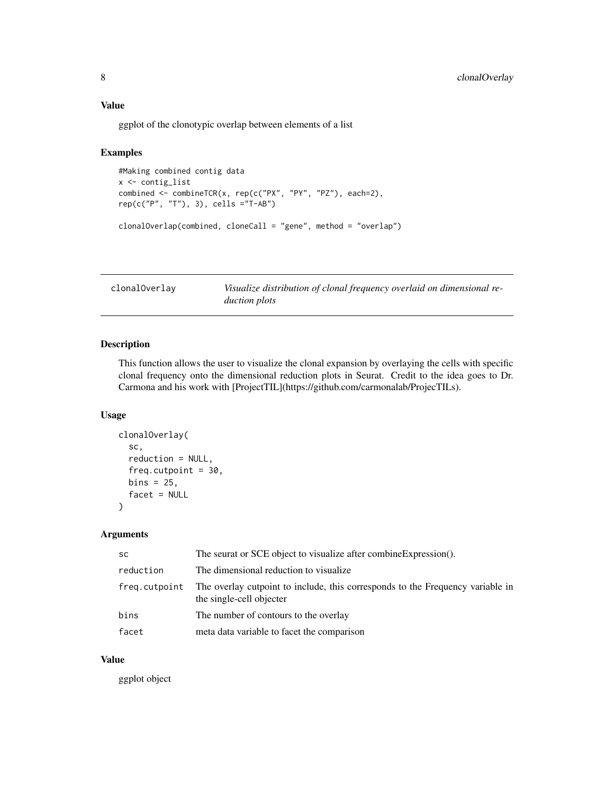<span id="page-7-0"></span>ggplot of the clonotypic overlap between elements of a list

#### Examples

```
#Making combined contig data
x <- contig_list
combined <- combineTCR(x, rep(c("PX", "PY", "PZ"), each=2),
rep(c("P", "T"), 3), cells ="T-AB")
clonalOverlap(combined, cloneCall = "gene", method = "overlap")
```

| clonal0verlay | Visualize distribution of clonal frequency overlaid on dimensional re- |
|---------------|------------------------------------------------------------------------|
|               | <i>duction plots</i>                                                   |

# Description

This function allows the user to visualize the clonal expansion by overlaying the cells with specific clonal frequency onto the dimensional reduction plots in Seurat. Credit to the idea goes to Dr. Carmona and his work with [ProjectTIL](https://github.com/carmonalab/ProjecTILs).

#### Usage

```
clonalOverlay(
  sc,
  reduction = NULL,
  freq.cutpoint = 30,
  bins = 25,
  facet = NULL\mathcal{L}
```
# Arguments

| <b>SC</b>     | The seurat or SCE object to visualize after combineExpression().                                           |
|---------------|------------------------------------------------------------------------------------------------------------|
| reduction     | The dimensional reduction to visualize.                                                                    |
| freg.cutpoint | The overlay cutpoint to include, this corresponds to the Frequency variable in<br>the single-cell objecter |
| bins          | The number of contours to the overlay                                                                      |
| facet         | meta data variable to facet the comparison                                                                 |

# Value

ggplot object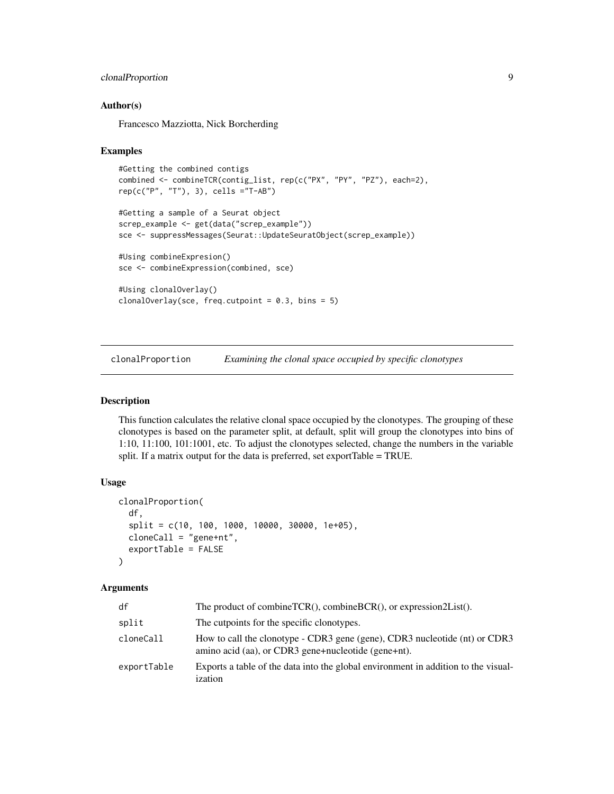# <span id="page-8-0"></span>clonalProportion 9

# Author(s)

Francesco Mazziotta, Nick Borcherding

#### Examples

```
#Getting the combined contigs
combined <- combineTCR(contig_list, rep(c("PX", "PY", "PZ"), each=2),
rep(c("P", "T"), 3), cells ="T-AB")
#Getting a sample of a Seurat object
screp_example <- get(data("screp_example"))
sce <- suppressMessages(Seurat::UpdateSeuratObject(screp_example))
```

```
#Using combineExpresion()
sce <- combineExpression(combined, sce)
```

```
#Using clonalOverlay()
clonalOverlay(sce, freq.cutpoint = 0.3, bins = 5)
```
clonalProportion *Examining the clonal space occupied by specific clonotypes*

# Description

This function calculates the relative clonal space occupied by the clonotypes. The grouping of these clonotypes is based on the parameter split, at default, split will group the clonotypes into bins of 1:10, 11:100, 101:1001, etc. To adjust the clonotypes selected, change the numbers in the variable split. If a matrix output for the data is preferred, set exportTable = TRUE.

# Usage

```
clonalProportion(
  df,
  split = c(10, 100, 1000, 10000, 30000, 1e+05),
  cloneCall = "gene+nt",
  exportTable = FALSE
)
```

| df          | The product of combineTCR(), combineBCR(), or expression2List().                                                                  |
|-------------|-----------------------------------------------------------------------------------------------------------------------------------|
| split       | The cutpoints for the specific clonotypes.                                                                                        |
| cloneCall   | How to call the clonotype - CDR3 gene (gene), CDR3 nucleotide (nt) or CDR3<br>amino acid (aa), or CDR3 gene+nucleotide (gene+nt). |
| exportTable | Exports a table of the data into the global environment in addition to the visual-<br>ization                                     |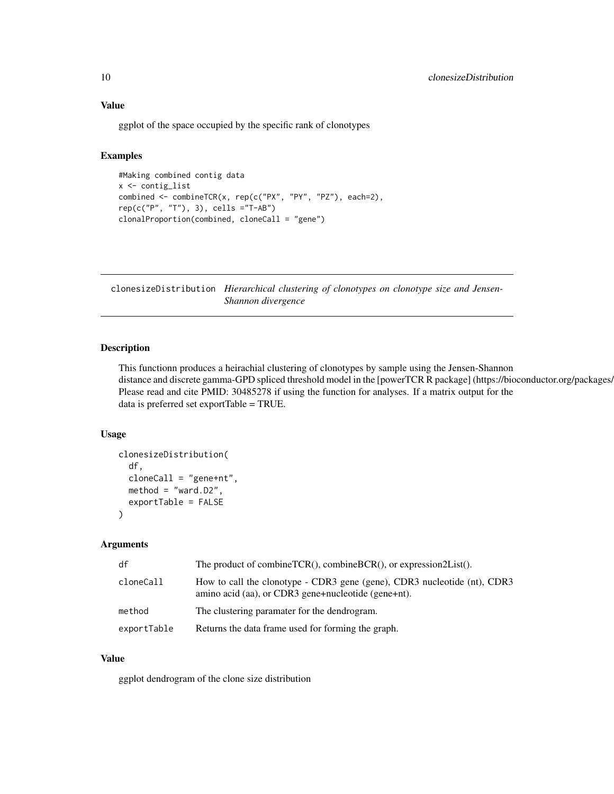## Value

ggplot of the space occupied by the specific rank of clonotypes

#### Examples

```
#Making combined contig data
x <- contig_list
combined <- combineTCR(x, rep(c("PX", "PY", "PZ"), each=2),
rep(c("P", "T"), 3), cells ="T-AB")
clonalProportion(combined, cloneCall = "gene")
```
clonesizeDistribution *Hierarchical clustering of clonotypes on clonotype size and Jensen-Shannon divergence*

# Description

This functionn produces a heirachial clustering of clonotypes by sample using the Jensen-Shannon distance and discrete gamma-GPD spliced threshold model in the [powerTCR R package] (https://bioconductor.org/packages/ Please read and cite PMID: 30485278 if using the function for analyses. If a matrix output for the data is preferred set exportTable = TRUE.

#### Usage

```
clonesizeDistribution(
  df,
  cloneCall = "gene+nt",
 method = "ward.D2",
  exportTable = FALSE
)
```
# Arguments

| df          | The product of combine $TCR()$ , combine $BCR()$ , or expression $2List()$ .                                                    |
|-------------|---------------------------------------------------------------------------------------------------------------------------------|
| cloneCall   | How to call the clonotype - CDR3 gene (gene), CDR3 nucleotide (nt), CDR3<br>amino acid (aa), or CDR3 gene+nucleotide (gene+nt). |
| method      | The clustering paramater for the dendrogram.                                                                                    |
| exportTable | Returns the data frame used for forming the graph.                                                                              |

#### Value

ggplot dendrogram of the clone size distribution

<span id="page-9-0"></span>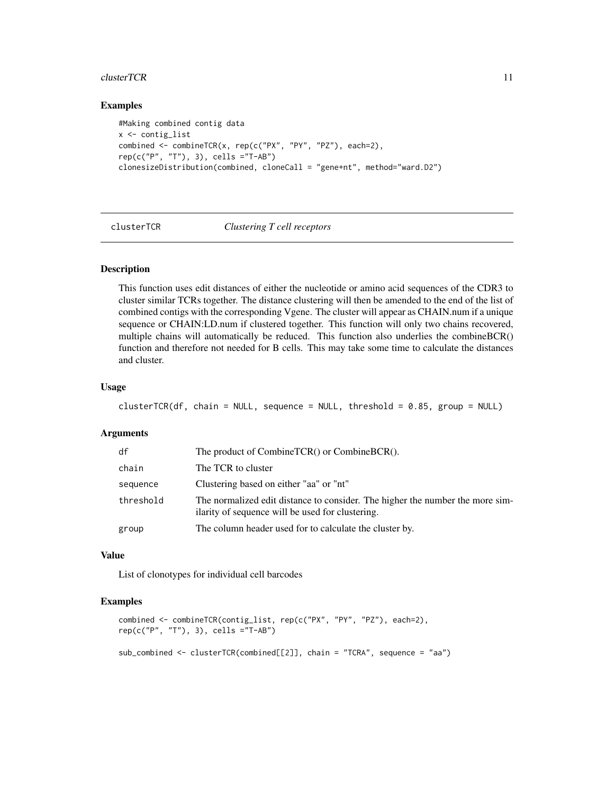#### <span id="page-10-0"></span> $clusterTCR$  11

# Examples

```
#Making combined contig data
x <- contig_list
combined <- combineTCR(x, rep(c("PX", "PY", "PZ"), each=2),
rep(c("P", "T"), 3), cells ="T-AB")
clonesizeDistribution(combined, cloneCall = "gene+nt", method="ward.D2")
```
#### clusterTCR *Clustering T cell receptors*

# Description

This function uses edit distances of either the nucleotide or amino acid sequences of the CDR3 to cluster similar TCRs together. The distance clustering will then be amended to the end of the list of combined contigs with the corresponding Vgene. The cluster will appear as CHAIN.num if a unique sequence or CHAIN:LD.num if clustered together. This function will only two chains recovered, multiple chains will automatically be reduced. This function also underlies the combineBCR() function and therefore not needed for B cells. This may take some time to calculate the distances and cluster.

## Usage

```
clusterTCR(df, chain = NULL, sequence = NULL, threshold = 0.85, group = NULL)
```
#### Arguments

| df        | The product of CombineTCR() or CombineBCR().                                                                                      |
|-----------|-----------------------------------------------------------------------------------------------------------------------------------|
| chain     | The TCR to cluster                                                                                                                |
| sequence  | Clustering based on either "aa" or "nt"                                                                                           |
| threshold | The normalized edit distance to consider. The higher the number the more sim-<br>ilarity of sequence will be used for clustering. |
| group     | The column header used for to calculate the cluster by.                                                                           |

#### Value

List of clonotypes for individual cell barcodes

```
combined <- combineTCR(contig_list, rep(c("PX", "PY", "PZ"), each=2),
rep(c("P", "T"), 3), cells ="T-AB")
sub_combined <- clusterTCR(combined[[2]], chain = "TCRA", sequence = "aa")
```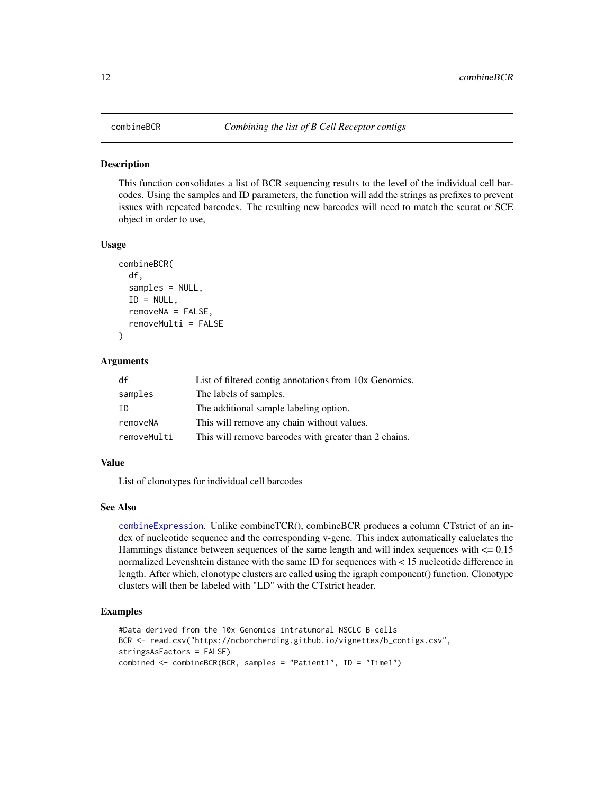# <span id="page-11-0"></span>**Description**

This function consolidates a list of BCR sequencing results to the level of the individual cell barcodes. Using the samples and ID parameters, the function will add the strings as prefixes to prevent issues with repeated barcodes. The resulting new barcodes will need to match the seurat or SCE object in order to use,

#### Usage

```
combineBCR(
  df,
  samples = NULL,
  ID = NULL,removeNA = FALSE,removeMulti = FALSE
)
```
#### Arguments

| df          | List of filtered contig annotations from 10x Genomics. |
|-------------|--------------------------------------------------------|
| samples     | The labels of samples.                                 |
| -TD         | The additional sample labeling option.                 |
| removeNA    | This will remove any chain without values.             |
| removeMulti | This will remove barcodes with greater than 2 chains.  |

#### Value

List of clonotypes for individual cell barcodes

#### See Also

[combineExpression](#page-12-1). Unlike combineTCR(), combineBCR produces a column CTstrict of an index of nucleotide sequence and the corresponding v-gene. This index automatically caluclates the Hammings distance between sequences of the same length and will index sequences with  $\leq 0.15$ normalized Levenshtein distance with the same ID for sequences with < 15 nucleotide difference in length. After which, clonotype clusters are called using the igraph component() function. Clonotype clusters will then be labeled with "LD" with the CTstrict header.

```
#Data derived from the 10x Genomics intratumoral NSCLC B cells
BCR <- read.csv("https://ncborcherding.github.io/vignettes/b_contigs.csv",
stringsAsFactors = FALSE)
combined <- combineBCR(BCR, samples = "Patient1", ID = "Time1")
```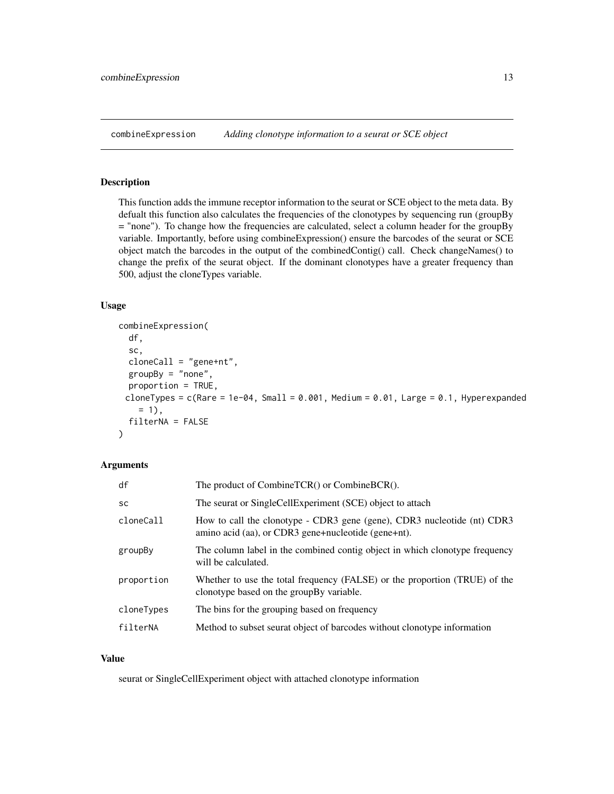<span id="page-12-1"></span><span id="page-12-0"></span>combineExpression *Adding clonotype information to a seurat or SCE object*

# Description

This function adds the immune receptor information to the seurat or SCE object to the meta data. By defualt this function also calculates the frequencies of the clonotypes by sequencing run (groupBy = "none"). To change how the frequencies are calculated, select a column header for the groupBy variable. Importantly, before using combineExpression() ensure the barcodes of the seurat or SCE object match the barcodes in the output of the combinedContig() call. Check changeNames() to change the prefix of the seurat object. If the dominant clonotypes have a greater frequency than 500, adjust the cloneTypes variable.

## Usage

```
combineExpression(
  df,
  sc,
  cloneCall = "gene+nt",
  groupBy = "none",proportion = TRUE,
 cloneTypes = c(Rare = 1e-04, Small = 0.001, Medium = 0.01, Large = 0.1, Hyperexpanded
    = 1,
  filterNA = FALSE
)
```
# Arguments

| df         | The product of CombineTCR() or CombineBCR().                                                                                   |
|------------|--------------------------------------------------------------------------------------------------------------------------------|
| SC         | The seurat or SingleCellExperiment (SCE) object to attach                                                                      |
| cloneCall  | How to call the clonotype - CDR3 gene (gene), CDR3 nucleotide (nt) CDR3<br>amino acid (aa), or CDR3 gene+nucleotide (gene+nt). |
| groupBy    | The column label in the combined contig object in which clonotype frequency<br>will be calculated.                             |
| proportion | Whether to use the total frequency (FALSE) or the proportion (TRUE) of the<br>clonotype based on the group By variable.        |
| cloneTypes | The bins for the grouping based on frequency                                                                                   |
| filterNA   | Method to subset seurat object of barcodes without clonotype information                                                       |

#### Value

seurat or SingleCellExperiment object with attached clonotype information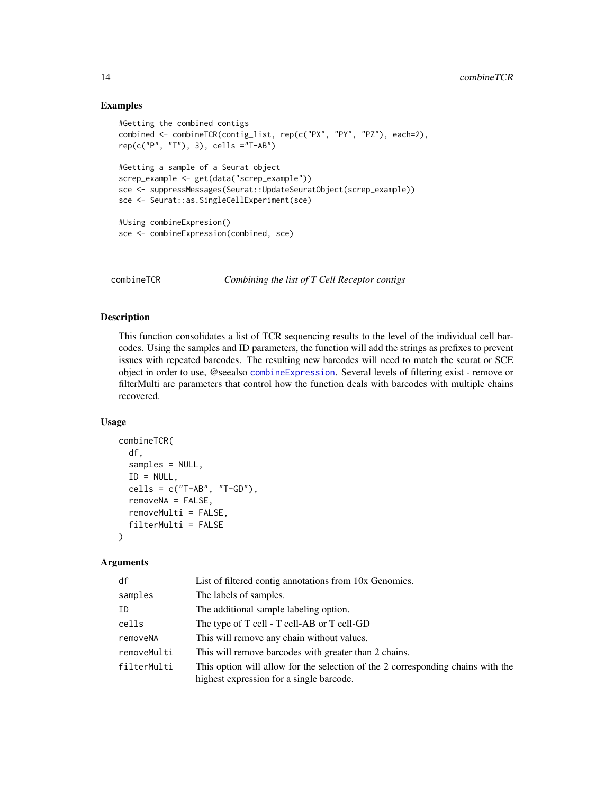# Examples

```
#Getting the combined contigs
combined <- combineTCR(contig_list, rep(c("PX", "PY", "PZ"), each=2),
rep(c("P", "T"), 3), cells ="T-AB")
#Getting a sample of a Seurat object
screp_example <- get(data("screp_example"))
sce <- suppressMessages(Seurat::UpdateSeuratObject(screp_example))
sce <- Seurat::as.SingleCellExperiment(sce)
#Using combineExpresion()
sce <- combineExpression(combined, sce)
```
combineTCR *Combining the list of T Cell Receptor contigs*

# Description

This function consolidates a list of TCR sequencing results to the level of the individual cell barcodes. Using the samples and ID parameters, the function will add the strings as prefixes to prevent issues with repeated barcodes. The resulting new barcodes will need to match the seurat or SCE object in order to use, @seealso [combineExpression](#page-12-1). Several levels of filtering exist - remove or filterMulti are parameters that control how the function deals with barcodes with multiple chains recovered.

#### Usage

```
combineTCR(
  df,
  samples = NULL,
  ID = NULL,cells = c("T-AB", "T-GD"),
  removeNA = FALSE,
  removeMulti = FALSE,
  filterMulti = FALSE
)
```

| df          | List of filtered contig annotations from 10x Genomics.                                                                      |
|-------------|-----------------------------------------------------------------------------------------------------------------------------|
| samples     | The labels of samples.                                                                                                      |
| ID          | The additional sample labeling option.                                                                                      |
| cells       | The type of T cell - T cell-AB or T cell-GD                                                                                 |
| removeNA    | This will remove any chain without values.                                                                                  |
| removeMulti | This will remove barcodes with greater than 2 chains.                                                                       |
| filterMulti | This option will allow for the selection of the 2 corresponding chains with the<br>highest expression for a single barcode. |

<span id="page-13-0"></span>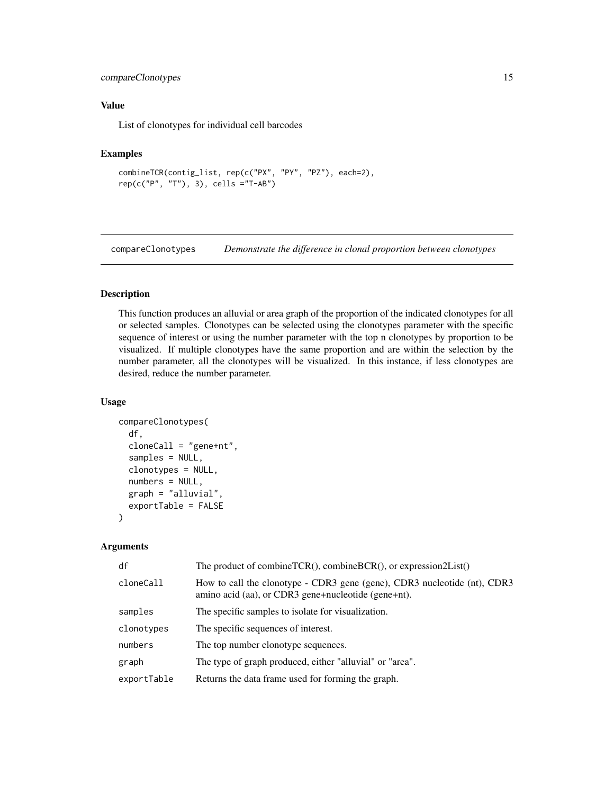# <span id="page-14-0"></span>compareClonotypes 15

# Value

List of clonotypes for individual cell barcodes

# Examples

```
combineTCR(contig_list, rep(c("PX", "PY", "PZ"), each=2),
rep(c("P", "T"), 3), cells ="T-AB")
```
compareClonotypes *Demonstrate the difference in clonal proportion between clonotypes*

# Description

This function produces an alluvial or area graph of the proportion of the indicated clonotypes for all or selected samples. Clonotypes can be selected using the clonotypes parameter with the specific sequence of interest or using the number parameter with the top n clonotypes by proportion to be visualized. If multiple clonotypes have the same proportion and are within the selection by the number parameter, all the clonotypes will be visualized. In this instance, if less clonotypes are desired, reduce the number parameter.

# Usage

```
compareClonotypes(
  df,
  cloneCall = "gene+nt",
  samples = NULL,
  clonotypes = NULL,
  numbers = NULL,
  graph = "alluvial",
  exportTable = FALSE
)
```

| df          | The product of combineTCR(), combineBCR(), or expression2List()                                                                 |
|-------------|---------------------------------------------------------------------------------------------------------------------------------|
| cloneCall   | How to call the clonotype - CDR3 gene (gene), CDR3 nucleotide (nt), CDR3<br>amino acid (aa), or CDR3 gene+nucleotide (gene+nt). |
| samples     | The specific samples to isolate for visualization.                                                                              |
| clonotypes  | The specific sequences of interest.                                                                                             |
| numbers     | The top number clonotype sequences.                                                                                             |
| graph       | The type of graph produced, either "alluvial" or "area".                                                                        |
| exportTable | Returns the data frame used for forming the graph.                                                                              |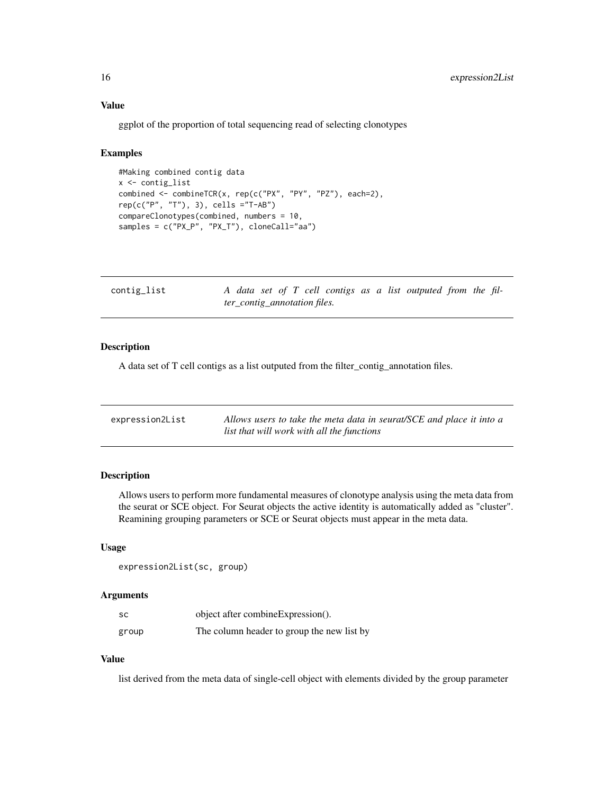#### <span id="page-15-0"></span>Value

ggplot of the proportion of total sequencing read of selecting clonotypes

#### Examples

```
#Making combined contig data
x <- contig_list
combined <- combineTCR(x, rep(c("PX", "PY", "PZ"), each=2),
rep(c("P", "T"), 3), cells ="T-AB")
compareClonotypes(combined, numbers = 10,
samples = c("PX_P", "PX_T"), cloneCall="aa")
```

| contig_list | A data set of T cell contigs as a list outputed from the fil- |  |  |
|-------------|---------------------------------------------------------------|--|--|
|             | <i>ter_contig_annotation files.</i>                           |  |  |

# Description

A data set of T cell contigs as a list outputed from the filter\_contig\_annotation files.

| expression2List | Allows users to take the meta data in seurat/SCE and place it into a |
|-----------------|----------------------------------------------------------------------|
|                 | list that will work with all the functions                           |

# Description

Allows users to perform more fundamental measures of clonotype analysis using the meta data from the seurat or SCE object. For Seurat objects the active identity is automatically added as "cluster". Reamining grouping parameters or SCE or Seurat objects must appear in the meta data.

#### Usage

```
expression2List(sc, group)
```
#### Arguments

| sc    | object after combine Expression().         |
|-------|--------------------------------------------|
| group | The column header to group the new list by |

## Value

list derived from the meta data of single-cell object with elements divided by the group parameter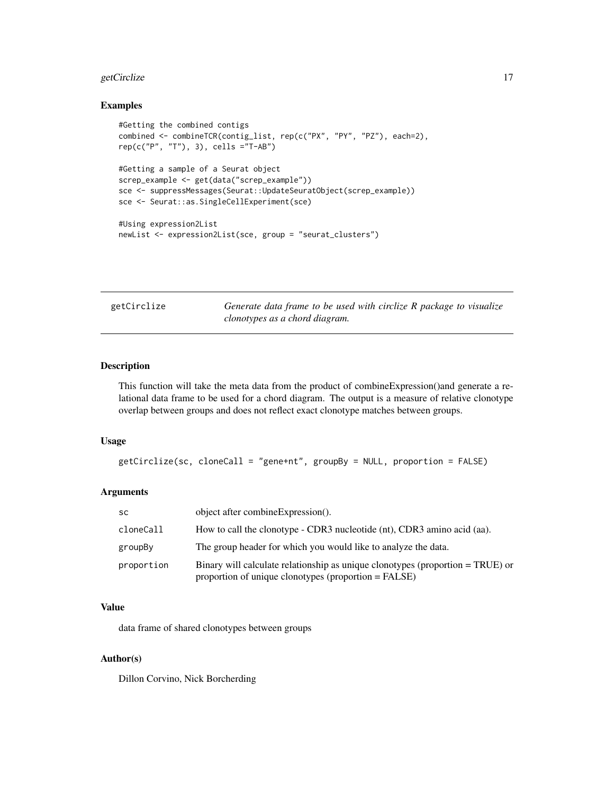# <span id="page-16-0"></span>getCirclize 17

# Examples

```
#Getting the combined contigs
combined <- combineTCR(contig_list, rep(c("PX", "PY", "PZ"), each=2),
rep(c("P", "T"), 3), cells ="T-AB")
#Getting a sample of a Seurat object
screp_example <- get(data("screp_example"))
sce <- suppressMessages(Seurat::UpdateSeuratObject(screp_example))
sce <- Seurat::as.SingleCellExperiment(sce)
#Using expression2List
newList <- expression2List(sce, group = "seurat_clusters")
```

| getCirclize | Generate data frame to be used with circlize R package to visualize |
|-------------|---------------------------------------------------------------------|
|             | clonotypes as a chord diagram.                                      |

# Description

This function will take the meta data from the product of combineExpression()and generate a relational data frame to be used for a chord diagram. The output is a measure of relative clonotype overlap between groups and does not reflect exact clonotype matches between groups.

# Usage

```
getCirclize(sc, cloneCall = "gene+nt", groupBy = NULL, proportion = FALSE)
```
#### Arguments

| <b>SC</b>  | object after combine Expression().                                                                                                     |
|------------|----------------------------------------------------------------------------------------------------------------------------------------|
| cloneCall  | How to call the clonotype - CDR3 nucleotide (nt), CDR3 amino acid (aa).                                                                |
| groupBy    | The group header for which you would like to analyze the data.                                                                         |
| proportion | Binary will calculate relationship as unique clonotypes (proportion = TRUE) or<br>proportion of unique clonotypes (proportion = FALSE) |

# Value

data frame of shared clonotypes between groups

# Author(s)

Dillon Corvino, Nick Borcherding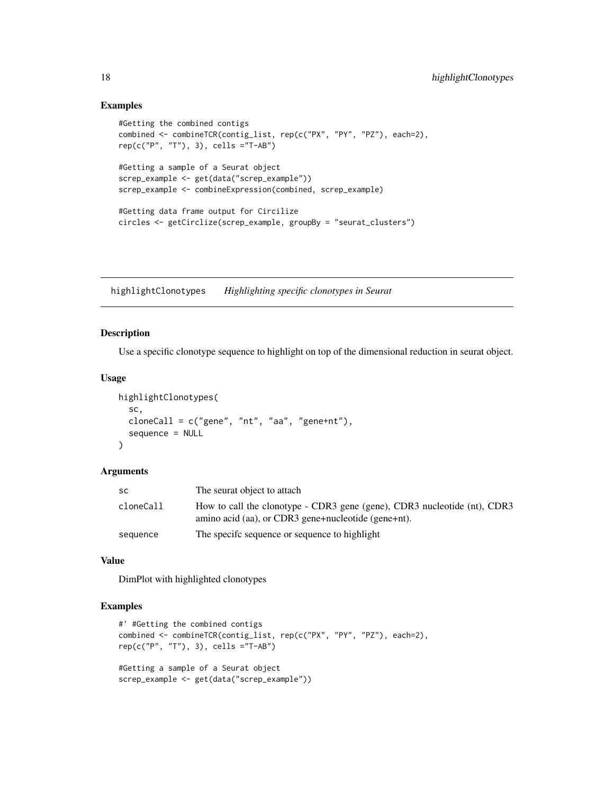# Examples

```
#Getting the combined contigs
combined <- combineTCR(contig_list, rep(c("PX", "PY", "PZ"), each=2),
rep(c("P", "T"), 3), cells ="T-AB")
#Getting a sample of a Seurat object
screp_example <- get(data("screp_example"))
screp_example <- combineExpression(combined, screp_example)
#Getting data frame output for Circilize
circles <- getCirclize(screp_example, groupBy = "seurat_clusters")
```
highlightClonotypes *Highlighting specific clonotypes in Seurat*

#### Description

Use a specific clonotype sequence to highlight on top of the dimensional reduction in seurat object.

# Usage

```
highlightClonotypes(
  sc,
  cloneCall = c("gene", "nt", "aa", "gene+nt"),sequence = NULL
\lambda
```
#### Arguments

| sc        | The seurat object to attach                                                                                                     |
|-----------|---------------------------------------------------------------------------------------------------------------------------------|
| cloneCall | How to call the clonotype - CDR3 gene (gene), CDR3 nucleotide (nt), CDR3<br>amino acid (aa), or CDR3 gene+nucleotide (gene+nt). |
| sequence  | The specific sequence or sequence to highlight                                                                                  |

## Value

DimPlot with highlighted clonotypes

```
#' #Getting the combined contigs
combined <- combineTCR(contig_list, rep(c("PX", "PY", "PZ"), each=2),
rep(c("P", "T"), 3), cells ="T-AB")
#Getting a sample of a Seurat object
screp_example <- get(data("screp_example"))
```
<span id="page-17-0"></span>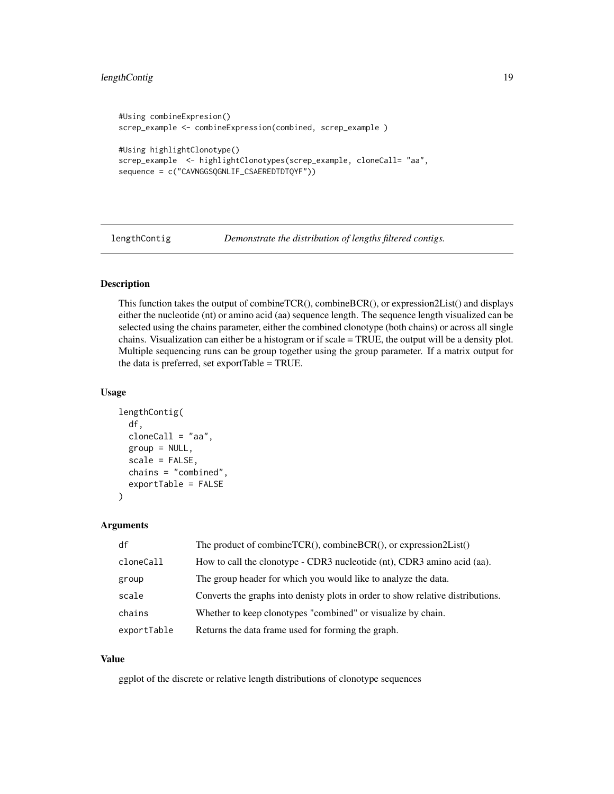# <span id="page-18-0"></span>lengthContig 19

```
#Using combineExpresion()
screp_example <- combineExpression(combined, screp_example )
#Using highlightClonotype()
screp_example <- highlightClonotypes(screp_example, cloneCall= "aa",
sequence = c("CAVNGGSQGNLIF_CSAEREDTDTQYF"))
```
lengthContig *Demonstrate the distribution of lengths filtered contigs.*

# Description

This function takes the output of combineTCR(), combineBCR(), or expression2List() and displays either the nucleotide (nt) or amino acid (aa) sequence length. The sequence length visualized can be selected using the chains parameter, either the combined clonotype (both chains) or across all single chains. Visualization can either be a histogram or if scale = TRUE, the output will be a density plot. Multiple sequencing runs can be group together using the group parameter. If a matrix output for the data is preferred, set exportTable = TRUE.

# Usage

```
lengthContig(
  df,
  cloneCall = "aa",
  group = NULL,
  scale = FALSE,
  chains = "combined",
  exportTable = FALSE
\mathcal{E}
```
#### Arguments

| df          | The product of combineTCR(), combineBCR(), or expression2List()                 |
|-------------|---------------------------------------------------------------------------------|
| cloneCall   | How to call the clonotype - CDR3 nucleotide (nt), CDR3 amino acid (aa).         |
| group       | The group header for which you would like to analyze the data.                  |
| scale       | Converts the graphs into denisty plots in order to show relative distributions. |
| chains      | Whether to keep clonotypes "combined" or visualize by chain.                    |
| exportTable | Returns the data frame used for forming the graph.                              |

#### Value

ggplot of the discrete or relative length distributions of clonotype sequences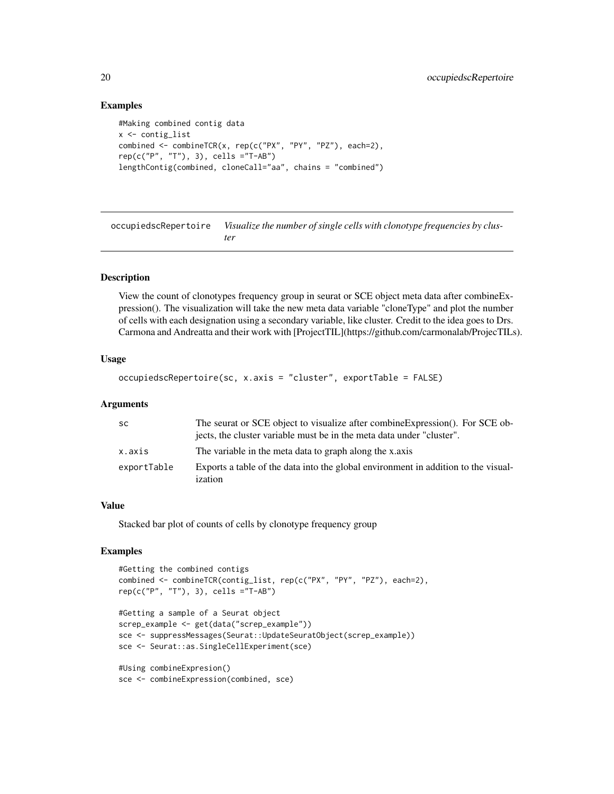# Examples

```
#Making combined contig data
x <- contig_list
combined <- combineTCR(x, rep(c("PX", "PY", "PZ"), each=2),
rep(c("P", "T"), 3), cells ="T-AB")
lengthContig(combined, cloneCall="aa", chains = "combined")
```
occupiedscRepertoire *Visualize the number of single cells with clonotype frequencies by cluster*

# Description

View the count of clonotypes frequency group in seurat or SCE object meta data after combineExpression(). The visualization will take the new meta data variable "cloneType" and plot the number of cells with each designation using a secondary variable, like cluster. Credit to the idea goes to Drs. Carmona and Andreatta and their work with [ProjectTIL](https://github.com/carmonalab/ProjecTILs).

# Usage

```
occupiedscRepertoire(sc, x.axis = "cluster", exportTable = FALSE)
```
#### Arguments

| -SC         | The seurat or SCE object to visualize after combine Expression(). For SCE ob-<br>jects, the cluster variable must be in the meta data under "cluster". |
|-------------|--------------------------------------------------------------------------------------------------------------------------------------------------------|
| x.axis      | The variable in the meta data to graph along the x.axis                                                                                                |
| exportTable | Exports a table of the data into the global environment in addition to the visual-<br>ization                                                          |

#### Value

Stacked bar plot of counts of cells by clonotype frequency group

```
#Getting the combined contigs
combined <- combineTCR(contig_list, rep(c("PX", "PY", "PZ"), each=2),
rep(c("P", "T"), 3), cells ="T-AB")
#Getting a sample of a Seurat object
screp_example <- get(data("screp_example"))
sce <- suppressMessages(Seurat::UpdateSeuratObject(screp_example))
sce <- Seurat::as.SingleCellExperiment(sce)
#Using combineExpresion()
sce <- combineExpression(combined, sce)
```
<span id="page-19-0"></span>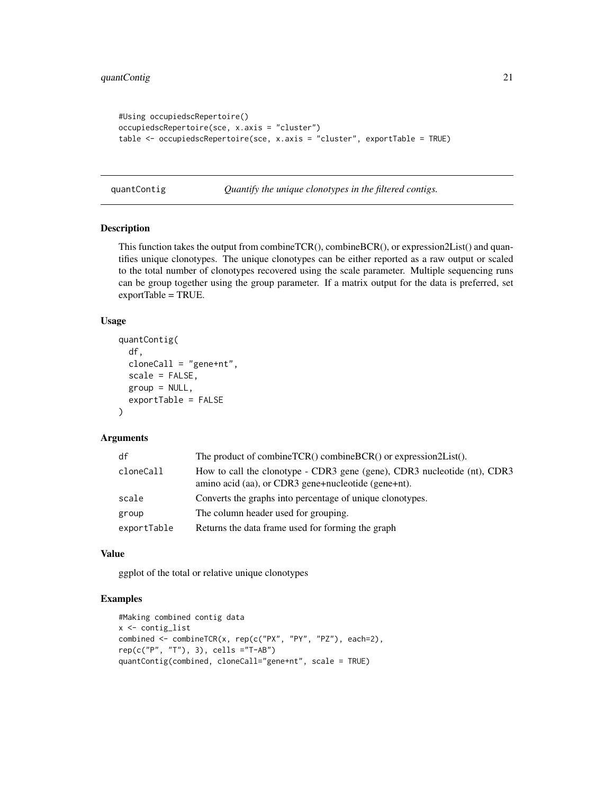```
#Using occupiedscRepertoire()
occupiedscRepertoire(sce, x.axis = "cluster")
table <- occupiedscRepertoire(sce, x.axis = "cluster", exportTable = TRUE)
```
quantContig *Quantify the unique clonotypes in the filtered contigs.*

# Description

This function takes the output from combineTCR(), combineBCR(), or expression2List() and quantifies unique clonotypes. The unique clonotypes can be either reported as a raw output or scaled to the total number of clonotypes recovered using the scale parameter. Multiple sequencing runs can be group together using the group parameter. If a matrix output for the data is preferred, set exportTable = TRUE.

#### Usage

```
quantContig(
  df,
 cloneCall = "gene+nt",
  scale = FALSE,
  group = NULL,exportTable = FALSE
)
```
# Arguments

| df          | The product of combineTCR() combineBCR() or expression2List().                                                                  |
|-------------|---------------------------------------------------------------------------------------------------------------------------------|
| cloneCall   | How to call the clonotype - CDR3 gene (gene), CDR3 nucleotide (nt), CDR3<br>amino acid (aa), or CDR3 gene+nucleotide (gene+nt). |
| scale       | Converts the graphs into percentage of unique clonotypes.                                                                       |
| group       | The column header used for grouping.                                                                                            |
| exportTable | Returns the data frame used for forming the graph                                                                               |

# Value

ggplot of the total or relative unique clonotypes

```
#Making combined contig data
x <- contig_list
combined <- combineTCR(x, rep(c("PX", "PY", "PZ"), each=2),
rep(c("P", "T"), 3), cells ="T-AB")
quantContig(combined, cloneCall="gene+nt", scale = TRUE)
```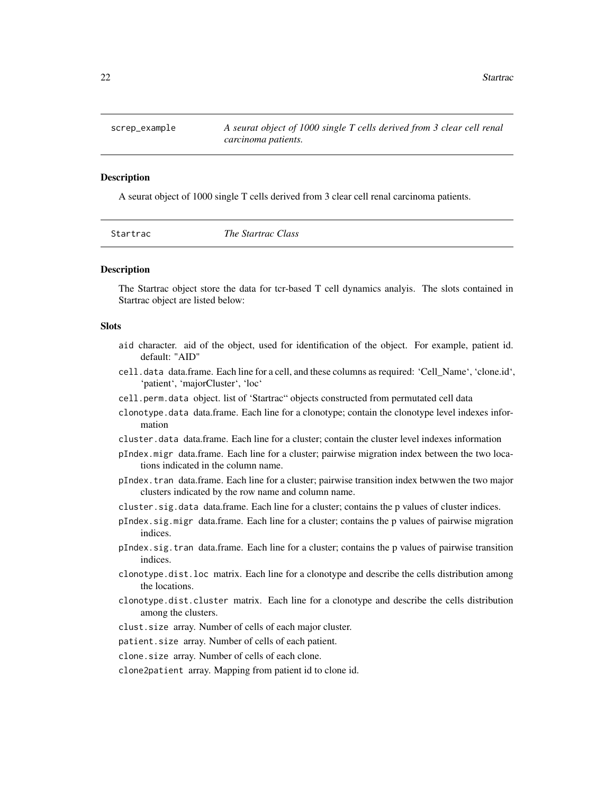<span id="page-21-0"></span>

#### Description

A seurat object of 1000 single T cells derived from 3 clear cell renal carcinoma patients.

|  | Startrac |
|--|----------|
|  |          |

Startrac *The Startrac Class*

#### **Description**

The Startrac object store the data for tcr-based T cell dynamics analyis. The slots contained in Startrac object are listed below:

# Slots

- aid character. aid of the object, used for identification of the object. For example, patient id. default: "AID"
- cell.data data.frame. Each line for a cell, and these columns as required: 'Cell\_Name', 'clone.id', 'patient', 'majorCluster', 'loc'
- cell.perm.data object. list of 'Startrac" objects constructed from permutated cell data
- clonotype.data data.frame. Each line for a clonotype; contain the clonotype level indexes information
- cluster.data data.frame. Each line for a cluster; contain the cluster level indexes information
- pIndex.migr data.frame. Each line for a cluster; pairwise migration index between the two locations indicated in the column name.
- pIndex.tran data.frame. Each line for a cluster; pairwise transition index betwwen the two major clusters indicated by the row name and column name.
- cluster.sig.data data.frame. Each line for a cluster; contains the p values of cluster indices.
- pIndex.sig.migr data.frame. Each line for a cluster; contains the p values of pairwise migration indices.
- pIndex.sig.tran data.frame. Each line for a cluster; contains the p values of pairwise transition indices.
- clonotype.dist.loc matrix. Each line for a clonotype and describe the cells distribution among the locations.
- clonotype.dist.cluster matrix. Each line for a clonotype and describe the cells distribution among the clusters.
- clust.size array. Number of cells of each major cluster.
- patient.size array. Number of cells of each patient.
- clone.size array. Number of cells of each clone.
- clone2patient array. Mapping from patient id to clone id.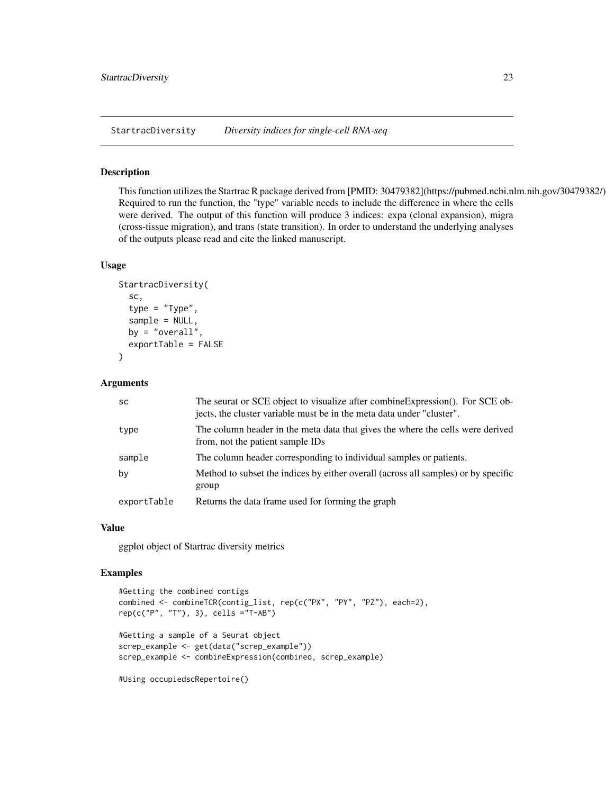<span id="page-22-0"></span>StartracDiversity *Diversity indices for single-cell RNA-seq*

## Description

This function utilizes the Startrac R package derived from [PMID: 30479382](https://pubmed.ncbi.nlm.nih.gov/30479382/) Required to run the function, the "type" variable needs to include the difference in where the cells were derived. The output of this function will produce 3 indices: expa (clonal expansion), migra (cross-tissue migration), and trans (state transition). In order to understand the underlying analyses of the outputs please read and cite the linked manuscript.

# Usage

```
StartracDiversity(
  sc,
  type = "Type",
  sample = NULL,
  by = "overall",
  exportTable = FALSE
)
```
# Arguments

| <b>SC</b>   | The seurat or SCE object to visualize after combine Expression(). For SCE ob-<br>jects, the cluster variable must be in the meta data under "cluster". |
|-------------|--------------------------------------------------------------------------------------------------------------------------------------------------------|
| type        | The column header in the meta data that gives the where the cells were derived<br>from, not the patient sample IDs                                     |
| sample      | The column header corresponding to individual samples or patients.                                                                                     |
| by          | Method to subset the indices by either overall (across all samples) or by specific<br>group                                                            |
| exportTable | Returns the data frame used for forming the graph                                                                                                      |

#### Value

ggplot object of Startrac diversity metrics

```
#Getting the combined contigs
combined <- combineTCR(contig_list, rep(c("PX", "PY", "PZ"), each=2),
rep(c("P", "T"), 3), cells ="T-AB")
#Getting a sample of a Seurat object
screp_example <- get(data("screp_example"))
screp_example <- combineExpression(combined, screp_example)
#Using occupiedscRepertoire()
```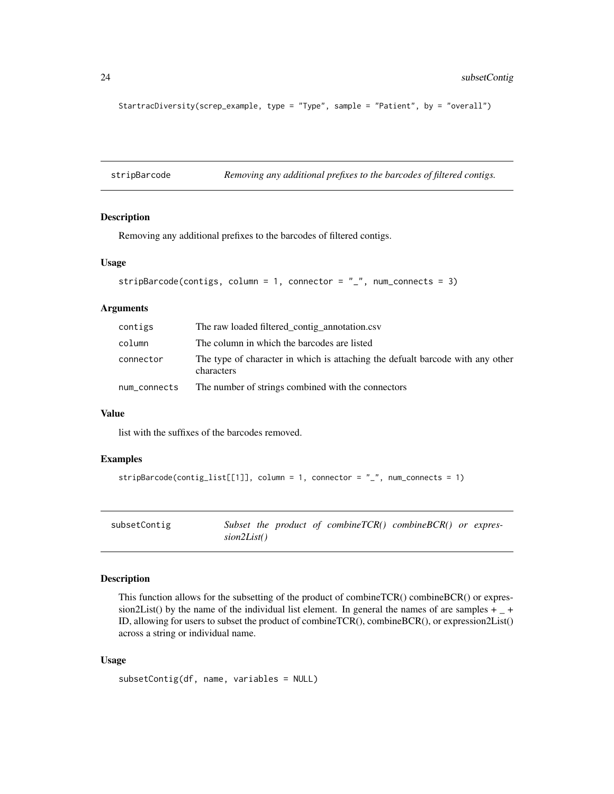```
StartracDiversity(screp_example, type = "Type", sample = "Patient", by = "overall")
```
stripBarcode *Removing any additional prefixes to the barcodes of filtered contigs.*

#### Description

Removing any additional prefixes to the barcodes of filtered contigs.

#### Usage

```
stripBarcode(contigs, column = 1, connector = "_", num_connects = 3)
```
# Arguments

| contigs      | The raw loaded filtered_contig_annotation.csv                                                |
|--------------|----------------------------------------------------------------------------------------------|
| column       | The column in which the barcodes are listed                                                  |
| connector    | The type of character in which is attaching the defualt barcode with any other<br>characters |
| num_connects | The number of strings combined with the connectors                                           |

# Value

list with the suffixes of the barcodes removed.

# Examples

```
stripBarcode(contig_list[[1]], column = 1, connector = "_", num_connects = 1)
```

| subsetContig | Subset the product of combineTCR $()$ combineBCR $()$ or expres- |  |  |
|--------------|------------------------------------------------------------------|--|--|
|              | sion2List()                                                      |  |  |

# Description

This function allows for the subsetting of the product of combineTCR() combineBCR() or expression2List() by the name of the individual list element. In general the names of are samples  $+$   $-$  + ID, allowing for users to subset the product of combineTCR(), combineBCR(), or expression2List() across a string or individual name.

## Usage

```
subsetContig(df, name, variables = NULL)
```
<span id="page-23-0"></span>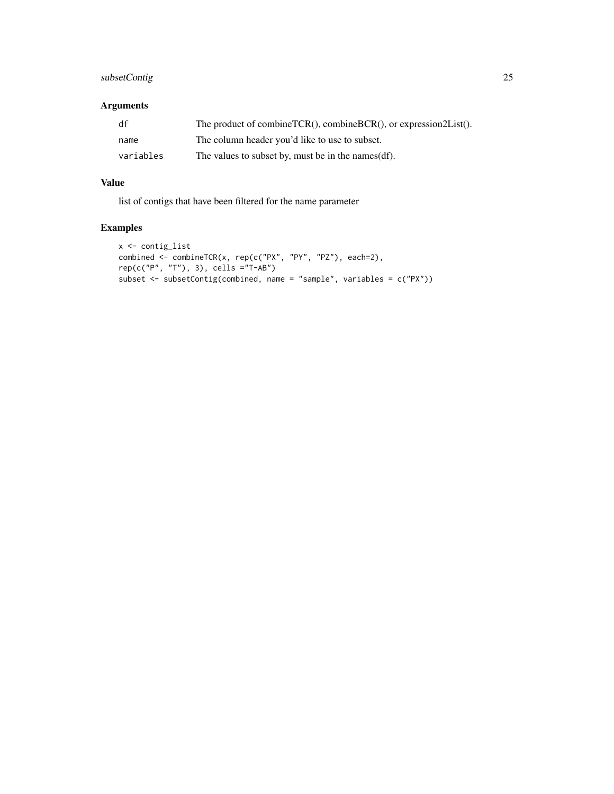# subsetContig 25

# Arguments

| df        | The product of combineTCR(), combineBCR(), or expression2List(). |
|-----------|------------------------------------------------------------------|
| name      | The column header you'd like to use to subset.                   |
| variables | The values to subset by, must be in the names (df).              |

# Value

list of contigs that have been filtered for the name parameter

```
x <- contig_list
combined <- combineTCR(x, rep(c("PX", "PY", "PZ"), each=2),
rep(c("P", "T"), 3), cells ="T-AB")
subset <- subsetContig(combined, name = "sample", variables = c("PX"))
```